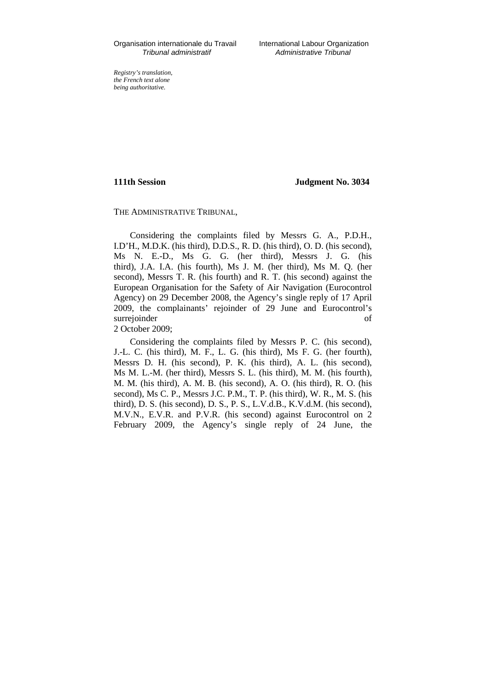Organisation internationale du Travail International Labour Organization

*Registry's translation, the French text alone being authoritative.*

**111th Session Judgment No. 3034**

## THE ADMINISTRATIVE TRIBUNAL,

Considering the complaints filed by Messrs G. A., P.D.H., I.D'H., M.D.K. (his third), D.D.S., R. D. (his third), O. D. (his second), Ms N. E.-D., Ms G. G. (her third), Messrs J. G. (his third), J.A. I.A. (his fourth), Ms J. M. (her third), Ms M. Q. (her second), Messrs T. R. (his fourth) and R. T. (his second) against the European Organisation for the Safety of Air Navigation (Eurocontrol Agency) on 29 December 2008, the Agency's single reply of 17 April 2009, the complainants' rejoinder of 29 June and Eurocontrol's surrejoinder of 2 October 2009;

Considering the complaints filed by Messrs P. C. (his second), J.-L. C. (his third), M. F., L. G. (his third), Ms F. G. (her fourth), Messrs D. H. (his second), P. K. (his third), A. L. (his second), Ms M. L.-M. (her third), Messrs S. L. (his third), M. M. (his fourth), M. M. (his third), A. M. B. (his second), A. O. (his third), R. O. (his second), Ms C. P., Messrs J.C. P.M., T. P. (his third), W. R., M. S. (his third), D. S. (his second), D. S., P. S., L.V.d.B., K.V.d.M. (his second), M.V.N., E.V.R. and P.V.R. (his second) against Eurocontrol on 2 February 2009, the Agency's single reply of 24 June, the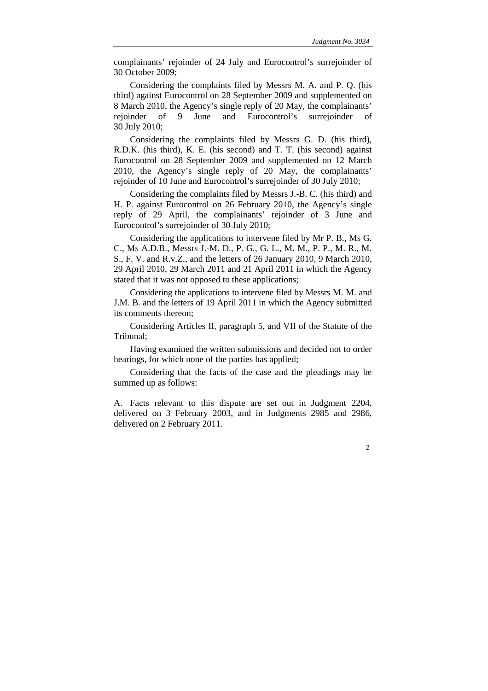complainants' rejoinder of 24 July and Eurocontrol's surrejoinder of 30 October 2009;

Considering the complaints filed by Messrs M. A. and P. Q. (his third) against Eurocontrol on 28 September 2009 and supplemented on 8 March 2010, the Agency's single reply of 20 May, the complainants' rejoinder of 9 June and Eurocontrol's surrejoinder of 30 July 2010;

Considering the complaints filed by Messrs G. D. (his third), R.D.K. (his third), K. E. (his second) and T. T. (his second) against Eurocontrol on 28 September 2009 and supplemented on 12 March 2010, the Agency's single reply of 20 May, the complainants' rejoinder of 10 June and Eurocontrol's surrejoinder of 30 July 2010;

Considering the complaints filed by Messrs J.-B. C. (his third) and H. P. against Eurocontrol on 26 February 2010, the Agency's single reply of 29 April, the complainants' rejoinder of 3 June and Eurocontrol's surrejoinder of 30 July 2010;

Considering the applications to intervene filed by Mr P. B., Ms G. C., Ms A.D.B., Messrs J.-M. D., P. G., G. L., M. M., P. P., M. R., M. S., F. V. and R.v.Z., and the letters of 26 January 2010, 9 March 2010, 29 April 2010, 29 March 2011 and 21 April 2011 in which the Agency stated that it was not opposed to these applications;

Considering the applications to intervene filed by Messrs M. M. and J.M. B. and the letters of 19 April 2011 in which the Agency submitted its comments thereon;

Considering Articles II, paragraph 5, and VII of the Statute of the Tribunal;

Having examined the written submissions and decided not to order hearings, for which none of the parties has applied;

Considering that the facts of the case and the pleadings may be summed up as follows:

A. Facts relevant to this dispute are set out in Judgment 2204, delivered on 3 February 2003, and in Judgments 2985 and 2986, delivered on 2 February 2011.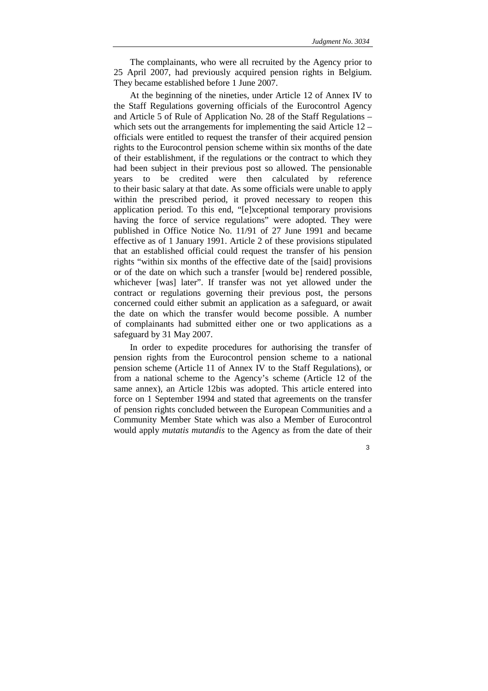The complainants, who were all recruited by the Agency prior to 25 April 2007, had previously acquired pension rights in Belgium. They became established before 1 June 2007.

At the beginning of the nineties, under Article 12 of Annex IV to the Staff Regulations governing officials of the Eurocontrol Agency and Article 5 of Rule of Application No. 28 of the Staff Regulations – which sets out the arrangements for implementing the said Article 12 – officials were entitled to request the transfer of their acquired pension rights to the Eurocontrol pension scheme within six months of the date of their establishment, if the regulations or the contract to which they had been subject in their previous post so allowed. The pensionable years to be credited were then calculated by reference to their basic salary at that date. As some officials were unable to apply within the prescribed period, it proved necessary to reopen this application period. To this end, "[e]xceptional temporary provisions having the force of service regulations" were adopted. They were published in Office Notice No. 11/91 of 27 June 1991 and became effective as of 1 January 1991. Article 2 of these provisions stipulated that an established official could request the transfer of his pension rights "within six months of the effective date of the [said] provisions or of the date on which such a transfer [would be] rendered possible, whichever [was] later". If transfer was not yet allowed under the contract or regulations governing their previous post, the persons concerned could either submit an application as a safeguard, or await the date on which the transfer would become possible. A number of complainants had submitted either one or two applications as a safeguard by 31 May 2007.

In order to expedite procedures for authorising the transfer of pension rights from the Eurocontrol pension scheme to a national pension scheme (Article 11 of Annex IV to the Staff Regulations), or from a national scheme to the Agency's scheme (Article 12 of the same annex), an Article 12bis was adopted. This article entered into force on 1 September 1994 and stated that agreements on the transfer of pension rights concluded between the European Communities and a Community Member State which was also a Member of Eurocontrol would apply *mutatis mutandis* to the Agency as from the date of their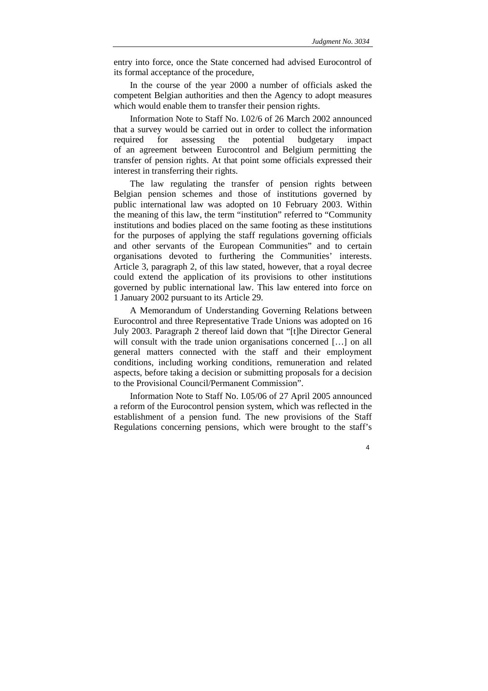entry into force, once the State concerned had advised Eurocontrol of its formal acceptance of the procedure,

In the course of the year 2000 a number of officials asked the competent Belgian authorities and then the Agency to adopt measures which would enable them to transfer their pension rights.

Information Note to Staff No. I.02/6 of 26 March 2002 announced that a survey would be carried out in order to collect the information required for assessing the potential budgetary impact of an agreement between Eurocontrol and Belgium permitting the transfer of pension rights. At that point some officials expressed their interest in transferring their rights.

The law regulating the transfer of pension rights between Belgian pension schemes and those of institutions governed by public international law was adopted on 10 February 2003. Within the meaning of this law, the term "institution" referred to "Community institutions and bodies placed on the same footing as these institutions for the purposes of applying the staff regulations governing officials and other servants of the European Communities" and to certain organisations devoted to furthering the Communities' interests. Article 3, paragraph 2, of this law stated, however, that a royal decree could extend the application of its provisions to other institutions governed by public international law. This law entered into force on 1 January 2002 pursuant to its Article 29.

A Memorandum of Understanding Governing Relations between Eurocontrol and three Representative Trade Unions was adopted on 16 July 2003. Paragraph 2 thereof laid down that "[t]he Director General will consult with the trade union organisations concerned [...] on all general matters connected with the staff and their employment conditions, including working conditions, remuneration and related aspects, before taking a decision or submitting proposals for a decision to the Provisional Council/Permanent Commission".

Information Note to Staff No. I.05/06 of 27 April 2005 announced a reform of the Eurocontrol pension system, which was reflected in the establishment of a pension fund. The new provisions of the Staff Regulations concerning pensions, which were brought to the staff's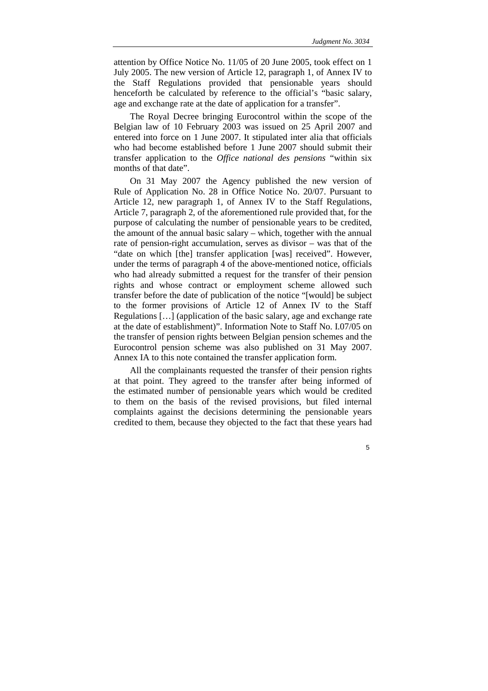attention by Office Notice No. 11/05 of 20 June 2005, took effect on 1 July 2005. The new version of Article 12, paragraph 1, of Annex IV to the Staff Regulations provided that pensionable years should henceforth be calculated by reference to the official's "basic salary, age and exchange rate at the date of application for a transfer".

The Royal Decree bringing Eurocontrol within the scope of the Belgian law of 10 February 2003 was issued on 25 April 2007 and entered into force on 1 June 2007. It stipulated inter alia that officials who had become established before 1 June 2007 should submit their transfer application to the *Office national des pensions* "within six months of that date".

On 31 May 2007 the Agency published the new version of Rule of Application No. 28 in Office Notice No. 20/07. Pursuant to Article 12, new paragraph 1, of Annex IV to the Staff Regulations, Article 7, paragraph 2, of the aforementioned rule provided that, for the purpose of calculating the number of pensionable years to be credited, the amount of the annual basic salary – which, together with the annual rate of pension-right accumulation, serves as divisor – was that of the "date on which [the] transfer application [was] received". However, under the terms of paragraph 4 of the above-mentioned notice, officials who had already submitted a request for the transfer of their pension rights and whose contract or employment scheme allowed such transfer before the date of publication of the notice "[would] be subject to the former provisions of Article 12 of Annex IV to the Staff Regulations […] (application of the basic salary, age and exchange rate at the date of establishment)". Information Note to Staff No. I.07/05 on the transfer of pension rights between Belgian pension schemes and the Eurocontrol pension scheme was also published on 31 May 2007. Annex IA to this note contained the transfer application form.

All the complainants requested the transfer of their pension rights at that point. They agreed to the transfer after being informed of the estimated number of pensionable years which would be credited to them on the basis of the revised provisions, but filed internal complaints against the decisions determining the pensionable years credited to them, because they objected to the fact that these years had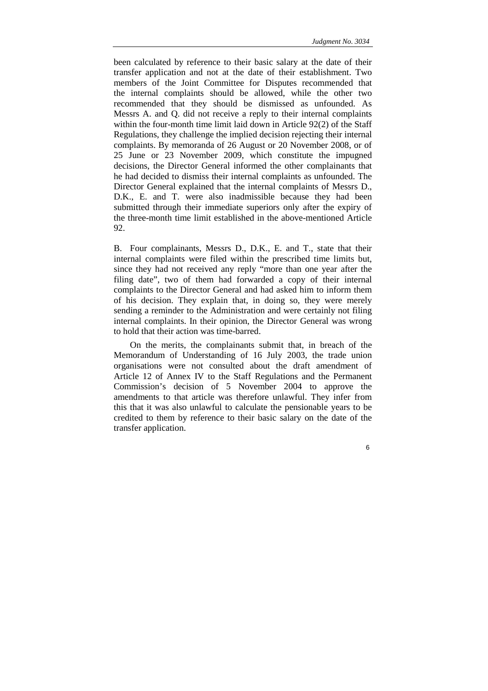been calculated by reference to their basic salary at the date of their transfer application and not at the date of their establishment. Two members of the Joint Committee for Disputes recommended that the internal complaints should be allowed, while the other two recommended that they should be dismissed as unfounded. As Messrs A. and Q. did not receive a reply to their internal complaints within the four-month time limit laid down in Article 92(2) of the Staff Regulations, they challenge the implied decision rejecting their internal complaints. By memoranda of 26 August or 20 November 2008, or of 25 June or 23 November 2009, which constitute the impugned decisions, the Director General informed the other complainants that he had decided to dismiss their internal complaints as unfounded. The Director General explained that the internal complaints of Messrs D., D.K., E. and T. were also inadmissible because they had been submitted through their immediate superiors only after the expiry of the three-month time limit established in the above-mentioned Article 92.

B. Four complainants, Messrs D., D.K., E. and T., state that their internal complaints were filed within the prescribed time limits but, since they had not received any reply "more than one year after the filing date", two of them had forwarded a copy of their internal complaints to the Director General and had asked him to inform them of his decision. They explain that, in doing so, they were merely sending a reminder to the Administration and were certainly not filing internal complaints. In their opinion, the Director General was wrong to hold that their action was time-barred.

On the merits, the complainants submit that, in breach of the Memorandum of Understanding of 16 July 2003, the trade union organisations were not consulted about the draft amendment of Article 12 of Annex IV to the Staff Regulations and the Permanent Commission's decision of 5 November 2004 to approve the amendments to that article was therefore unlawful. They infer from this that it was also unlawful to calculate the pensionable years to be credited to them by reference to their basic salary on the date of the transfer application.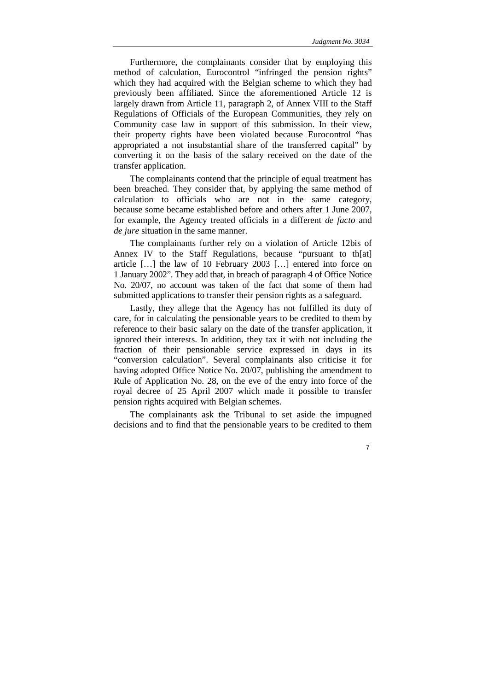Furthermore, the complainants consider that by employing this method of calculation, Eurocontrol "infringed the pension rights" which they had acquired with the Belgian scheme to which they had previously been affiliated. Since the aforementioned Article 12 is largely drawn from Article 11, paragraph 2, of Annex VIII to the Staff Regulations of Officials of the European Communities, they rely on Community case law in support of this submission. In their view, their property rights have been violated because Eurocontrol "has appropriated a not insubstantial share of the transferred capital" by converting it on the basis of the salary received on the date of the transfer application.

The complainants contend that the principle of equal treatment has been breached. They consider that, by applying the same method of calculation to officials who are not in the same category, because some became established before and others after 1 June 2007, for example, the Agency treated officials in a different *de facto* and *de jure* situation in the same manner.

The complainants further rely on a violation of Article 12bis of Annex IV to the Staff Regulations, because "pursuant to th[at] article […] the law of 10 February 2003 […] entered into force on 1 January 2002". They add that, in breach of paragraph 4 of Office Notice No. 20/07, no account was taken of the fact that some of them had submitted applications to transfer their pension rights as a safeguard.

Lastly, they allege that the Agency has not fulfilled its duty of care, for in calculating the pensionable years to be credited to them by reference to their basic salary on the date of the transfer application, it ignored their interests. In addition, they tax it with not including the fraction of their pensionable service expressed in days in its "conversion calculation". Several complainants also criticise it for having adopted Office Notice No. 20/07, publishing the amendment to Rule of Application No. 28, on the eve of the entry into force of the royal decree of 25 April 2007 which made it possible to transfer pension rights acquired with Belgian schemes.

The complainants ask the Tribunal to set aside the impugned decisions and to find that the pensionable years to be credited to them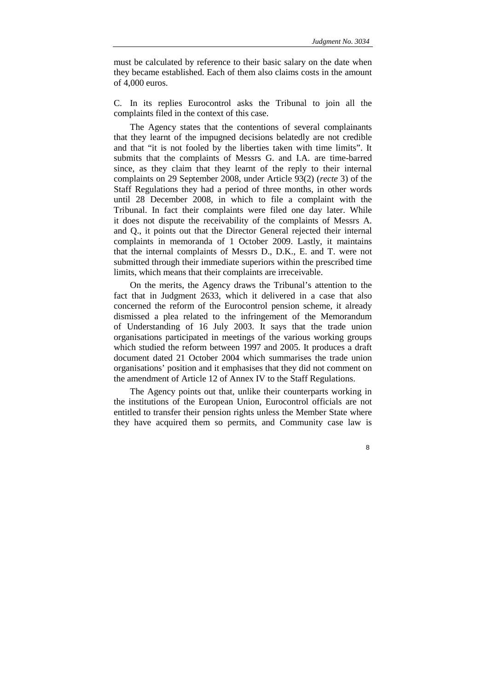must be calculated by reference to their basic salary on the date when they became established. Each of them also claims costs in the amount of 4,000 euros.

C. In its replies Eurocontrol asks the Tribunal to join all the complaints filed in the context of this case.

The Agency states that the contentions of several complainants that they learnt of the impugned decisions belatedly are not credible and that "it is not fooled by the liberties taken with time limits". It submits that the complaints of Messrs G. and I.A. are time-barred since, as they claim that they learnt of the reply to their internal complaints on 29 September 2008, under Article 93(2) (*recte* 3) of the Staff Regulations they had a period of three months, in other words until 28 December 2008, in which to file a complaint with the Tribunal. In fact their complaints were filed one day later. While it does not dispute the receivability of the complaints of Messrs A. and Q., it points out that the Director General rejected their internal complaints in memoranda of 1 October 2009. Lastly, it maintains that the internal complaints of Messrs D., D.K., E. and T. were not submitted through their immediate superiors within the prescribed time limits, which means that their complaints are irreceivable.

On the merits, the Agency draws the Tribunal's attention to the fact that in Judgment 2633, which it delivered in a case that also concerned the reform of the Eurocontrol pension scheme, it already dismissed a plea related to the infringement of the Memorandum of Understanding of 16 July 2003. It says that the trade union organisations participated in meetings of the various working groups which studied the reform between 1997 and 2005. It produces a draft document dated 21 October 2004 which summarises the trade union organisations' position and it emphasises that they did not comment on the amendment of Article 12 of Annex IV to the Staff Regulations.

The Agency points out that, unlike their counterparts working in the institutions of the European Union, Eurocontrol officials are not entitled to transfer their pension rights unless the Member State where they have acquired them so permits, and Community case law is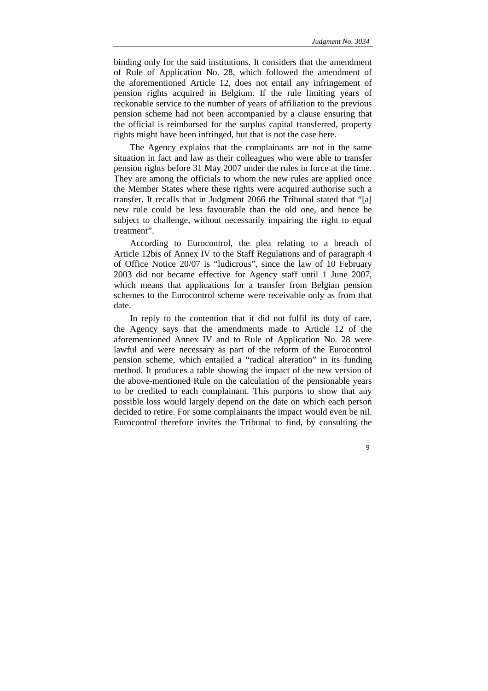binding only for the said institutions. It considers that the amendment of Rule of Application No. 28, which followed the amendment of the aforementioned Article 12, does not entail any infringement of pension rights acquired in Belgium. If the rule limiting years of reckonable service to the number of years of affiliation to the previous pension scheme had not been accompanied by a clause ensuring that the official is reimbursed for the surplus capital transferred, property rights might have been infringed, but that is not the case here.

The Agency explains that the complainants are not in the same situation in fact and law as their colleagues who were able to transfer pension rights before 31 May 2007 under the rules in force at the time. They are among the officials to whom the new rules are applied once the Member States where these rights were acquired authorise such a transfer. It recalls that in Judgment 2066 the Tribunal stated that "[a] new rule could be less favourable than the old one, and hence be subject to challenge, without necessarily impairing the right to equal treatment".

According to Eurocontrol, the plea relating to a breach of Article 12bis of Annex IV to the Staff Regulations and of paragraph 4 of Office Notice 20/07 is "ludicrous", since the law of 10 February 2003 did not became effective for Agency staff until 1 June 2007, which means that applications for a transfer from Belgian pension schemes to the Eurocontrol scheme were receivable only as from that date.

In reply to the contention that it did not fulfil its duty of care, the Agency says that the amendments made to Article 12 of the aforementioned Annex IV and to Rule of Application No. 28 were lawful and were necessary as part of the reform of the Eurocontrol pension scheme, which entailed a "radical alteration" in its funding method. It produces a table showing the impact of the new version of the above-mentioned Rule on the calculation of the pensionable years to be credited to each complainant. This purports to show that any possible loss would largely depend on the date on which each person decided to retire. For some complainants the impact would even be nil. Eurocontrol therefore invites the Tribunal to find, by consulting the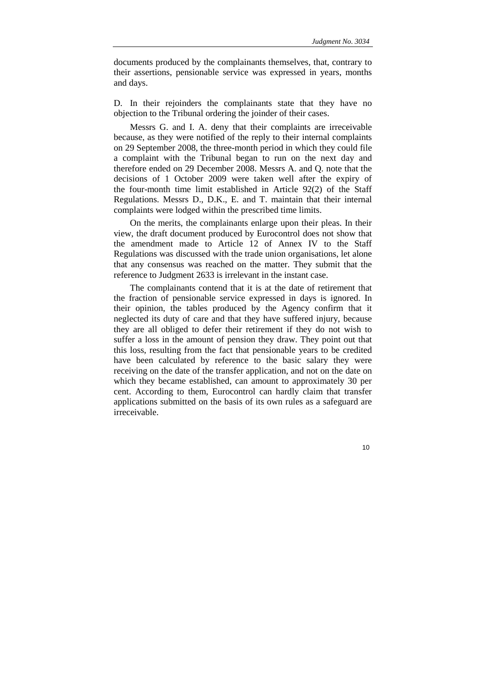documents produced by the complainants themselves, that, contrary to their assertions, pensionable service was expressed in years, months and days.

D. In their rejoinders the complainants state that they have no objection to the Tribunal ordering the joinder of their cases.

Messrs G. and I. A. deny that their complaints are irreceivable because, as they were notified of the reply to their internal complaints on 29 September 2008, the three-month period in which they could file a complaint with the Tribunal began to run on the next day and therefore ended on 29 December 2008. Messrs A. and Q. note that the decisions of 1 October 2009 were taken well after the expiry of the four-month time limit established in Article 92(2) of the Staff Regulations. Messrs D., D.K., E. and T. maintain that their internal complaints were lodged within the prescribed time limits.

On the merits, the complainants enlarge upon their pleas. In their view, the draft document produced by Eurocontrol does not show that the amendment made to Article 12 of Annex IV to the Staff Regulations was discussed with the trade union organisations, let alone that any consensus was reached on the matter. They submit that the reference to Judgment 2633 is irrelevant in the instant case.

The complainants contend that it is at the date of retirement that the fraction of pensionable service expressed in days is ignored. In their opinion, the tables produced by the Agency confirm that it neglected its duty of care and that they have suffered injury, because they are all obliged to defer their retirement if they do not wish to suffer a loss in the amount of pension they draw. They point out that this loss, resulting from the fact that pensionable years to be credited have been calculated by reference to the basic salary they were receiving on the date of the transfer application, and not on the date on which they became established, can amount to approximately 30 per cent. According to them, Eurocontrol can hardly claim that transfer applications submitted on the basis of its own rules as a safeguard are irreceivable.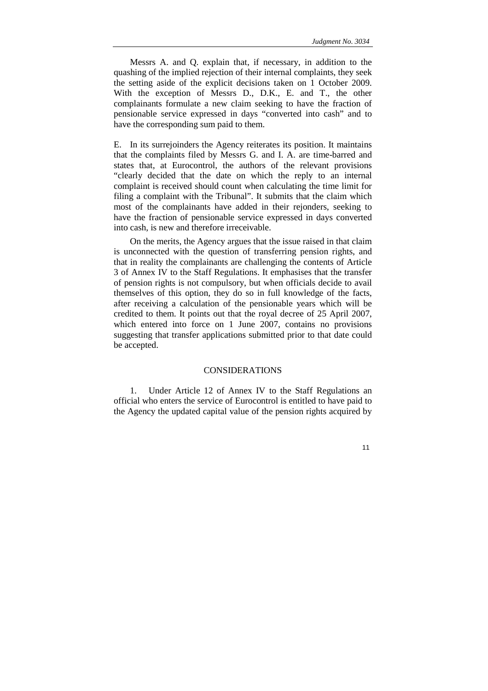Messrs A. and Q. explain that, if necessary, in addition to the quashing of the implied rejection of their internal complaints, they seek the setting aside of the explicit decisions taken on 1 October 2009. With the exception of Messrs D., D.K., E. and T., the other complainants formulate a new claim seeking to have the fraction of pensionable service expressed in days "converted into cash" and to have the corresponding sum paid to them.

E. In its surrejoinders the Agency reiterates its position. It maintains that the complaints filed by Messrs G. and I. A. are time-barred and states that, at Eurocontrol, the authors of the relevant provisions "clearly decided that the date on which the reply to an internal complaint is received should count when calculating the time limit for filing a complaint with the Tribunal". It submits that the claim which most of the complainants have added in their rejonders, seeking to have the fraction of pensionable service expressed in days converted into cash, is new and therefore irreceivable.

On the merits, the Agency argues that the issue raised in that claim is unconnected with the question of transferring pension rights, and that in reality the complainants are challenging the contents of Article 3 of Annex IV to the Staff Regulations. It emphasises that the transfer of pension rights is not compulsory, but when officials decide to avail themselves of this option, they do so in full knowledge of the facts, after receiving a calculation of the pensionable years which will be credited to them. It points out that the royal decree of 25 April 2007, which entered into force on 1 June 2007, contains no provisions suggesting that transfer applications submitted prior to that date could be accepted.

## CONSIDERATIONS

1. Under Article 12 of Annex IV to the Staff Regulations an official who enters the service of Eurocontrol is entitled to have paid to the Agency the updated capital value of the pension rights acquired by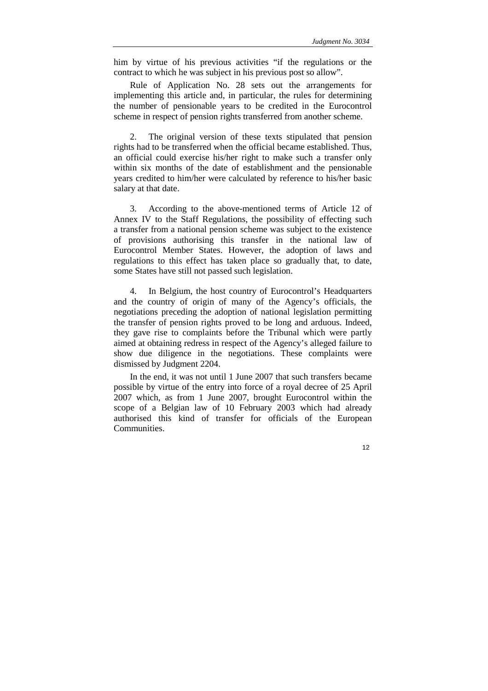him by virtue of his previous activities "if the regulations or the contract to which he was subject in his previous post so allow".

Rule of Application No. 28 sets out the arrangements for implementing this article and, in particular, the rules for determining the number of pensionable years to be credited in the Eurocontrol scheme in respect of pension rights transferred from another scheme.

2. The original version of these texts stipulated that pension rights had to be transferred when the official became established. Thus, an official could exercise his/her right to make such a transfer only within six months of the date of establishment and the pensionable years credited to him/her were calculated by reference to his/her basic salary at that date.

3. According to the above-mentioned terms of Article 12 of Annex IV to the Staff Regulations, the possibility of effecting such a transfer from a national pension scheme was subject to the existence of provisions authorising this transfer in the national law of Eurocontrol Member States. However, the adoption of laws and regulations to this effect has taken place so gradually that, to date, some States have still not passed such legislation.

4. In Belgium, the host country of Eurocontrol's Headquarters and the country of origin of many of the Agency's officials, the negotiations preceding the adoption of national legislation permitting the transfer of pension rights proved to be long and arduous. Indeed, they gave rise to complaints before the Tribunal which were partly aimed at obtaining redress in respect of the Agency's alleged failure to show due diligence in the negotiations. These complaints were dismissed by Judgment 2204.

In the end, it was not until 1 June 2007 that such transfers became possible by virtue of the entry into force of a royal decree of 25 April 2007 which, as from 1 June 2007, brought Eurocontrol within the scope of a Belgian law of 10 February 2003 which had already authorised this kind of transfer for officials of the European **Communities**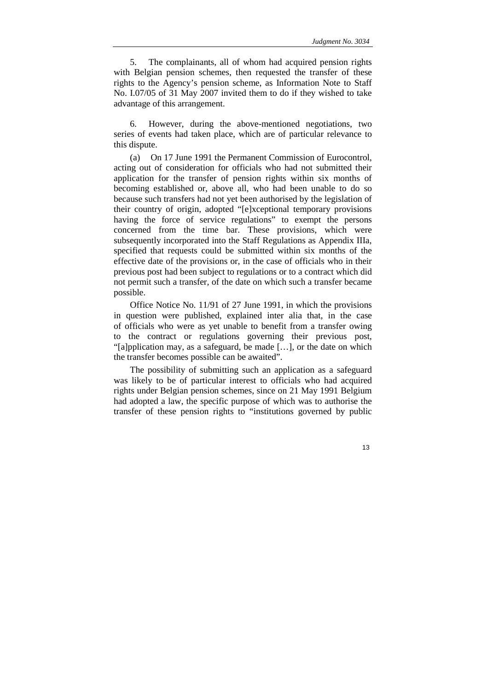5. The complainants, all of whom had acquired pension rights with Belgian pension schemes, then requested the transfer of these rights to the Agency's pension scheme, as Information Note to Staff No. I.07/05 of 31 May 2007 invited them to do if they wished to take advantage of this arrangement.

6. However, during the above-mentioned negotiations, two series of events had taken place, which are of particular relevance to this dispute.

(a) On 17 June 1991 the Permanent Commission of Eurocontrol, acting out of consideration for officials who had not submitted their application for the transfer of pension rights within six months of becoming established or, above all, who had been unable to do so because such transfers had not yet been authorised by the legislation of their country of origin, adopted "[e]xceptional temporary provisions having the force of service regulations" to exempt the persons concerned from the time bar. These provisions, which were subsequently incorporated into the Staff Regulations as Appendix IIIa, specified that requests could be submitted within six months of the effective date of the provisions or, in the case of officials who in their previous post had been subject to regulations or to a contract which did not permit such a transfer, of the date on which such a transfer became possible.

Office Notice No. 11/91 of 27 June 1991, in which the provisions in question were published, explained inter alia that, in the case of officials who were as yet unable to benefit from a transfer owing to the contract or regulations governing their previous post, "[a]pplication may, as a safeguard, be made […], or the date on which the transfer becomes possible can be awaited".

The possibility of submitting such an application as a safeguard was likely to be of particular interest to officials who had acquired rights under Belgian pension schemes, since on 21 May 1991 Belgium had adopted a law, the specific purpose of which was to authorise the transfer of these pension rights to "institutions governed by public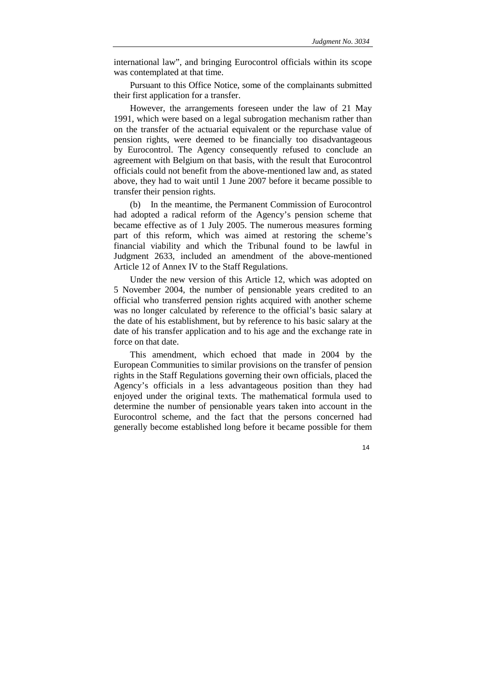international law", and bringing Eurocontrol officials within its scope was contemplated at that time.

Pursuant to this Office Notice, some of the complainants submitted their first application for a transfer.

However, the arrangements foreseen under the law of 21 May 1991, which were based on a legal subrogation mechanism rather than on the transfer of the actuarial equivalent or the repurchase value of pension rights, were deemed to be financially too disadvantageous by Eurocontrol. The Agency consequently refused to conclude an agreement with Belgium on that basis, with the result that Eurocontrol officials could not benefit from the above-mentioned law and, as stated above, they had to wait until 1 June 2007 before it became possible to transfer their pension rights.

(b) In the meantime, the Permanent Commission of Eurocontrol had adopted a radical reform of the Agency's pension scheme that became effective as of 1 July 2005. The numerous measures forming part of this reform, which was aimed at restoring the scheme's financial viability and which the Tribunal found to be lawful in Judgment 2633, included an amendment of the above-mentioned Article 12 of Annex IV to the Staff Regulations.

Under the new version of this Article 12, which was adopted on 5 November 2004, the number of pensionable years credited to an official who transferred pension rights acquired with another scheme was no longer calculated by reference to the official's basic salary at the date of his establishment, but by reference to his basic salary at the date of his transfer application and to his age and the exchange rate in force on that date.

This amendment, which echoed that made in 2004 by the European Communities to similar provisions on the transfer of pension rights in the Staff Regulations governing their own officials, placed the Agency's officials in a less advantageous position than they had enjoyed under the original texts. The mathematical formula used to determine the number of pensionable years taken into account in the Eurocontrol scheme, and the fact that the persons concerned had generally become established long before it became possible for them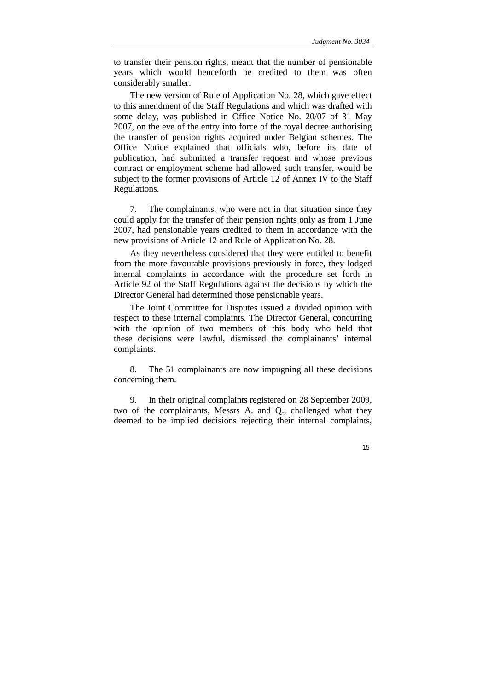to transfer their pension rights, meant that the number of pensionable years which would henceforth be credited to them was often considerably smaller.

The new version of Rule of Application No. 28, which gave effect to this amendment of the Staff Regulations and which was drafted with some delay, was published in Office Notice No. 20/07 of 31 May 2007, on the eve of the entry into force of the royal decree authorising the transfer of pension rights acquired under Belgian schemes. The Office Notice explained that officials who, before its date of publication, had submitted a transfer request and whose previous contract or employment scheme had allowed such transfer, would be subject to the former provisions of Article 12 of Annex IV to the Staff Regulations.

7. The complainants, who were not in that situation since they could apply for the transfer of their pension rights only as from 1 June 2007, had pensionable years credited to them in accordance with the new provisions of Article 12 and Rule of Application No. 28.

As they nevertheless considered that they were entitled to benefit from the more favourable provisions previously in force, they lodged internal complaints in accordance with the procedure set forth in Article 92 of the Staff Regulations against the decisions by which the Director General had determined those pensionable years.

The Joint Committee for Disputes issued a divided opinion with respect to these internal complaints. The Director General, concurring with the opinion of two members of this body who held that these decisions were lawful, dismissed the complainants' internal complaints.

8. The 51 complainants are now impugning all these decisions concerning them.

9. In their original complaints registered on 28 September 2009, two of the complainants, Messrs A. and Q., challenged what they deemed to be implied decisions rejecting their internal complaints,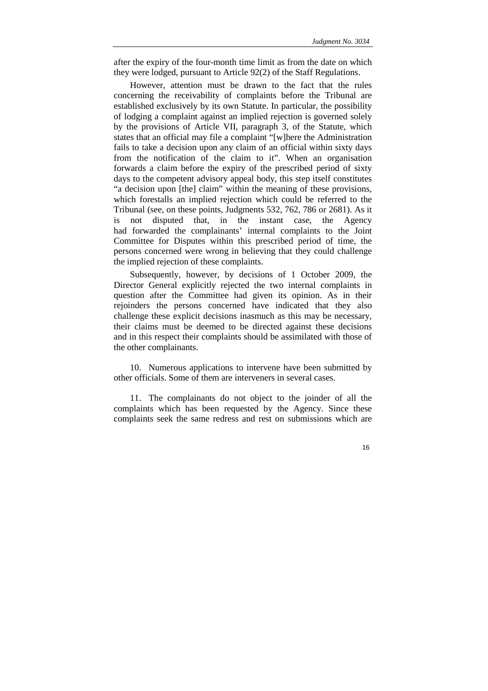after the expiry of the four-month time limit as from the date on which they were lodged, pursuant to Article 92(2) of the Staff Regulations.

However, attention must be drawn to the fact that the rules concerning the receivability of complaints before the Tribunal are established exclusively by its own Statute. In particular, the possibility of lodging a complaint against an implied rejection is governed solely by the provisions of Article VII, paragraph 3, of the Statute, which states that an official may file a complaint "[w]here the Administration fails to take a decision upon any claim of an official within sixty days from the notification of the claim to it". When an organisation forwards a claim before the expiry of the prescribed period of sixty days to the competent advisory appeal body, this step itself constitutes "a decision upon [the] claim" within the meaning of these provisions, which forestalls an implied rejection which could be referred to the Tribunal (see, on these points, Judgments 532, 762, 786 or 2681). As it is not disputed that, in the instant case, the Agency had forwarded the complainants' internal complaints to the Joint Committee for Disputes within this prescribed period of time, the persons concerned were wrong in believing that they could challenge the implied rejection of these complaints.

Subsequently, however, by decisions of 1 October 2009, the Director General explicitly rejected the two internal complaints in question after the Committee had given its opinion. As in their rejoinders the persons concerned have indicated that they also challenge these explicit decisions inasmuch as this may be necessary, their claims must be deemed to be directed against these decisions and in this respect their complaints should be assimilated with those of the other complainants.

10. Numerous applications to intervene have been submitted by other officials. Some of them are interveners in several cases.

11. The complainants do not object to the joinder of all the complaints which has been requested by the Agency. Since these complaints seek the same redress and rest on submissions which are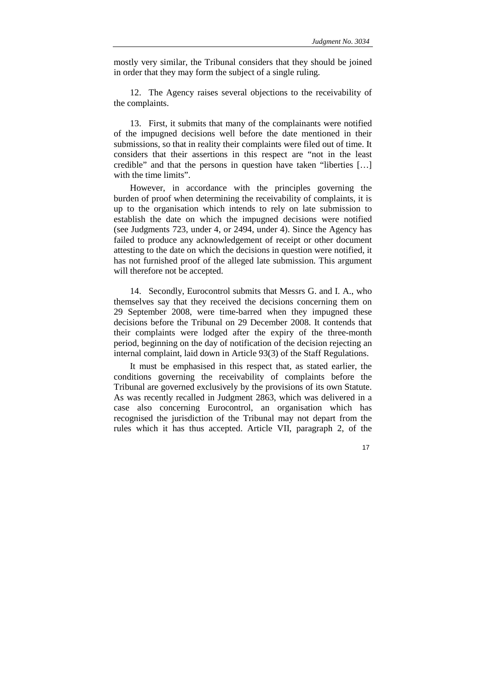mostly very similar, the Tribunal considers that they should be joined in order that they may form the subject of a single ruling.

12. The Agency raises several objections to the receivability of the complaints.

13. First, it submits that many of the complainants were notified of the impugned decisions well before the date mentioned in their submissions, so that in reality their complaints were filed out of time. It considers that their assertions in this respect are "not in the least credible" and that the persons in question have taken "liberties […] with the time limits".

However, in accordance with the principles governing the burden of proof when determining the receivability of complaints, it is up to the organisation which intends to rely on late submission to establish the date on which the impugned decisions were notified (see Judgments 723, under 4, or 2494, under 4). Since the Agency has failed to produce any acknowledgement of receipt or other document attesting to the date on which the decisions in question were notified, it has not furnished proof of the alleged late submission. This argument will therefore not be accepted.

14. Secondly, Eurocontrol submits that Messrs G. and I. A., who themselves say that they received the decisions concerning them on 29 September 2008, were time-barred when they impugned these decisions before the Tribunal on 29 December 2008. It contends that their complaints were lodged after the expiry of the three-month period, beginning on the day of notification of the decision rejecting an internal complaint, laid down in Article 93(3) of the Staff Regulations.

It must be emphasised in this respect that, as stated earlier, the conditions governing the receivability of complaints before the Tribunal are governed exclusively by the provisions of its own Statute. As was recently recalled in Judgment 2863, which was delivered in a case also concerning Eurocontrol, an organisation which has recognised the jurisdiction of the Tribunal may not depart from the rules which it has thus accepted. Article VII, paragraph 2, of the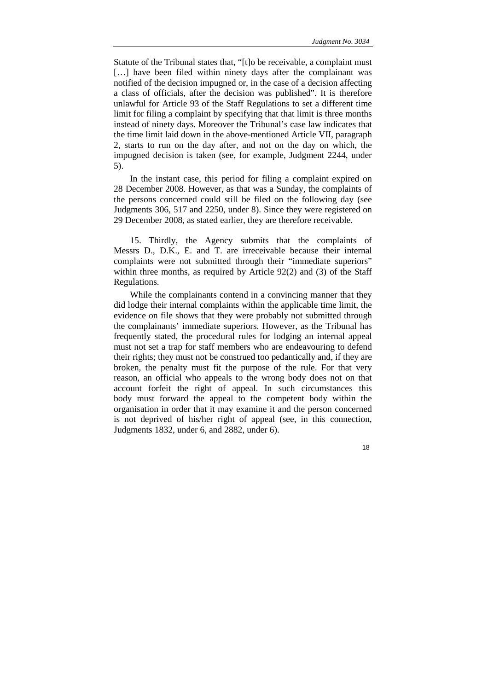Statute of the Tribunal states that, "[t]o be receivable, a complaint must [...] have been filed within ninety days after the complainant was notified of the decision impugned or, in the case of a decision affecting a class of officials, after the decision was published". It is therefore unlawful for Article 93 of the Staff Regulations to set a different time limit for filing a complaint by specifying that that limit is three months instead of ninety days. Moreover the Tribunal's case law indicates that the time limit laid down in the above-mentioned Article VII, paragraph 2, starts to run on the day after, and not on the day on which, the impugned decision is taken (see, for example, Judgment 2244, under 5).

In the instant case, this period for filing a complaint expired on 28 December 2008. However, as that was a Sunday, the complaints of the persons concerned could still be filed on the following day (see Judgments 306, 517 and 2250, under 8). Since they were registered on 29 December 2008, as stated earlier, they are therefore receivable.

15. Thirdly, the Agency submits that the complaints of Messrs D., D.K., E. and T. are irreceivable because their internal complaints were not submitted through their "immediate superiors" within three months, as required by Article 92(2) and (3) of the Staff Regulations.

While the complainants contend in a convincing manner that they did lodge their internal complaints within the applicable time limit, the evidence on file shows that they were probably not submitted through the complainants' immediate superiors. However, as the Tribunal has frequently stated, the procedural rules for lodging an internal appeal must not set a trap for staff members who are endeavouring to defend their rights; they must not be construed too pedantically and, if they are broken, the penalty must fit the purpose of the rule. For that very reason, an official who appeals to the wrong body does not on that account forfeit the right of appeal. In such circumstances this body must forward the appeal to the competent body within the organisation in order that it may examine it and the person concerned is not deprived of his/her right of appeal (see, in this connection, Judgments 1832, under 6, and 2882, under 6).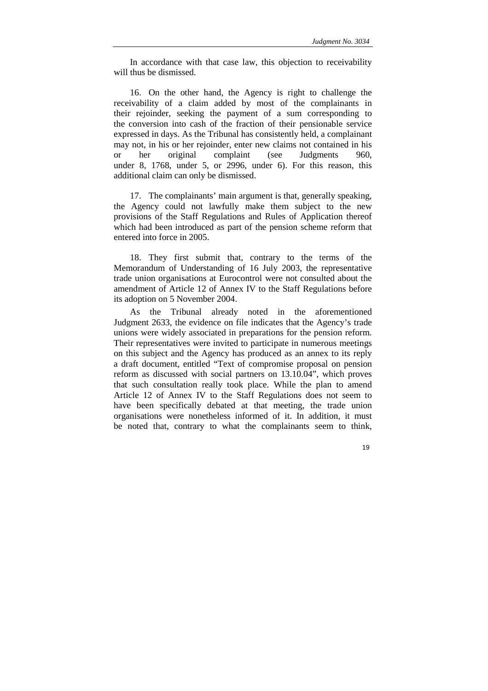In accordance with that case law, this objection to receivability will thus be dismissed.

16. On the other hand, the Agency is right to challenge the receivability of a claim added by most of the complainants in their rejoinder, seeking the payment of a sum corresponding to the conversion into cash of the fraction of their pensionable service expressed in days. As the Tribunal has consistently held, a complainant may not, in his or her rejoinder, enter new claims not contained in his or her original complaint (see Judgments 960, under 8, 1768, under 5, or 2996, under 6). For this reason, this additional claim can only be dismissed.

17. The complainants' main argument is that, generally speaking, the Agency could not lawfully make them subject to the new provisions of the Staff Regulations and Rules of Application thereof which had been introduced as part of the pension scheme reform that entered into force in 2005.

18. They first submit that, contrary to the terms of the Memorandum of Understanding of 16 July 2003, the representative trade union organisations at Eurocontrol were not consulted about the amendment of Article 12 of Annex IV to the Staff Regulations before its adoption on 5 November 2004.

As the Tribunal already noted in the aforementioned Judgment 2633, the evidence on file indicates that the Agency's trade unions were widely associated in preparations for the pension reform. Their representatives were invited to participate in numerous meetings on this subject and the Agency has produced as an annex to its reply a draft document, entitled "Text of compromise proposal on pension reform as discussed with social partners on 13.10.04", which proves that such consultation really took place. While the plan to amend Article 12 of Annex IV to the Staff Regulations does not seem to have been specifically debated at that meeting, the trade union organisations were nonetheless informed of it. In addition, it must be noted that, contrary to what the complainants seem to think,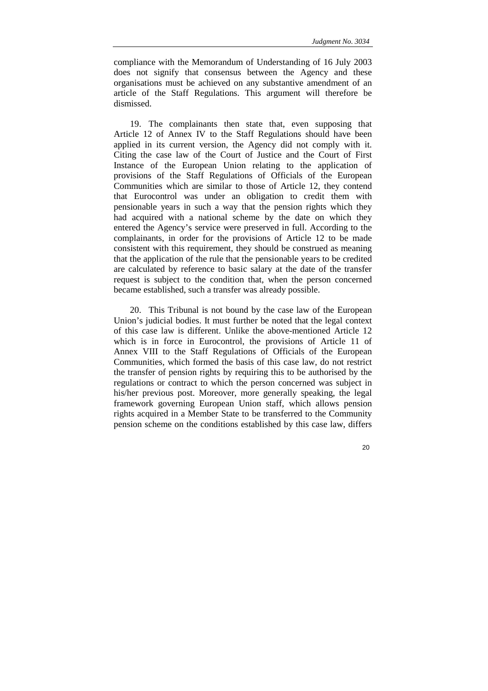compliance with the Memorandum of Understanding of 16 July 2003 does not signify that consensus between the Agency and these organisations must be achieved on any substantive amendment of an article of the Staff Regulations. This argument will therefore be dismissed.

19. The complainants then state that, even supposing that Article 12 of Annex IV to the Staff Regulations should have been applied in its current version, the Agency did not comply with it. Citing the case law of the Court of Justice and the Court of First Instance of the European Union relating to the application of provisions of the Staff Regulations of Officials of the European Communities which are similar to those of Article 12, they contend that Eurocontrol was under an obligation to credit them with pensionable years in such a way that the pension rights which they had acquired with a national scheme by the date on which they entered the Agency's service were preserved in full. According to the complainants, in order for the provisions of Article 12 to be made consistent with this requirement, they should be construed as meaning that the application of the rule that the pensionable years to be credited are calculated by reference to basic salary at the date of the transfer request is subject to the condition that, when the person concerned became established, such a transfer was already possible.

20. This Tribunal is not bound by the case law of the European Union's judicial bodies. It must further be noted that the legal context of this case law is different. Unlike the above-mentioned Article 12 which is in force in Eurocontrol, the provisions of Article 11 of Annex VIII to the Staff Regulations of Officials of the European Communities, which formed the basis of this case law, do not restrict the transfer of pension rights by requiring this to be authorised by the regulations or contract to which the person concerned was subject in his/her previous post. Moreover, more generally speaking, the legal framework governing European Union staff, which allows pension rights acquired in a Member State to be transferred to the Community pension scheme on the conditions established by this case law, differs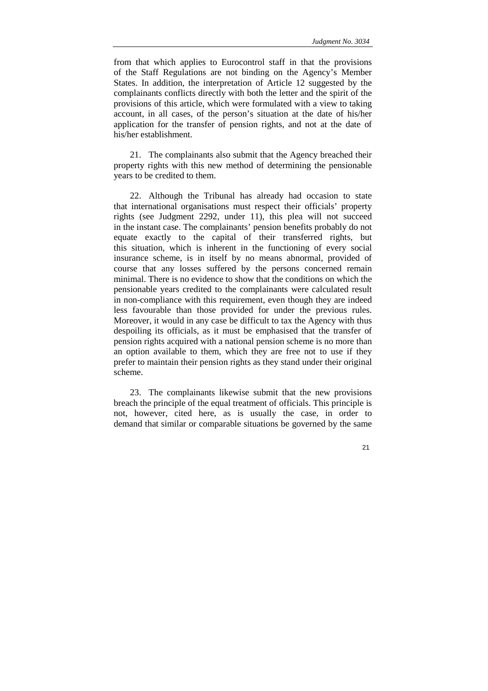from that which applies to Eurocontrol staff in that the provisions of the Staff Regulations are not binding on the Agency's Member States. In addition, the interpretation of Article 12 suggested by the complainants conflicts directly with both the letter and the spirit of the provisions of this article, which were formulated with a view to taking account, in all cases, of the person's situation at the date of his/her application for the transfer of pension rights, and not at the date of his/her establishment.

21. The complainants also submit that the Agency breached their property rights with this new method of determining the pensionable years to be credited to them.

22. Although the Tribunal has already had occasion to state that international organisations must respect their officials' property rights (see Judgment 2292, under 11), this plea will not succeed in the instant case. The complainants' pension benefits probably do not equate exactly to the capital of their transferred rights, but this situation, which is inherent in the functioning of every social insurance scheme, is in itself by no means abnormal, provided of course that any losses suffered by the persons concerned remain minimal. There is no evidence to show that the conditions on which the pensionable years credited to the complainants were calculated result in non-compliance with this requirement, even though they are indeed less favourable than those provided for under the previous rules. Moreover, it would in any case be difficult to tax the Agency with thus despoiling its officials, as it must be emphasised that the transfer of pension rights acquired with a national pension scheme is no more than an option available to them, which they are free not to use if they prefer to maintain their pension rights as they stand under their original scheme.

23. The complainants likewise submit that the new provisions breach the principle of the equal treatment of officials. This principle is not, however, cited here, as is usually the case, in order to demand that similar or comparable situations be governed by the same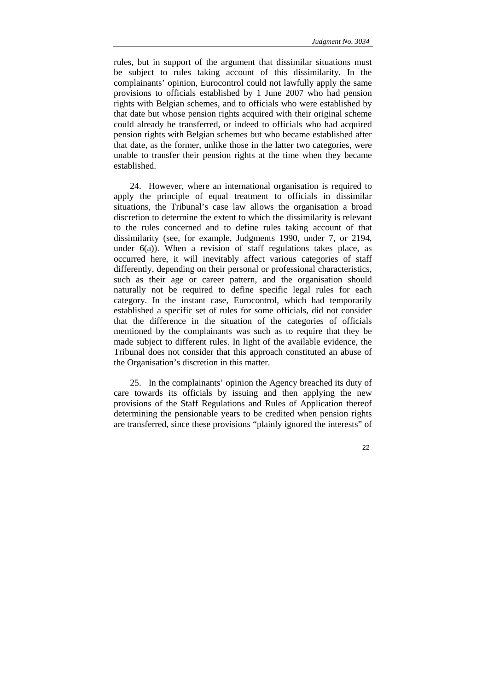rules, but in support of the argument that dissimilar situations must be subject to rules taking account of this dissimilarity. In the complainants' opinion, Eurocontrol could not lawfully apply the same provisions to officials established by 1 June 2007 who had pension rights with Belgian schemes, and to officials who were established by that date but whose pension rights acquired with their original scheme could already be transferred, or indeed to officials who had acquired pension rights with Belgian schemes but who became established after that date, as the former, unlike those in the latter two categories, were unable to transfer their pension rights at the time when they became established.

24. However, where an international organisation is required to apply the principle of equal treatment to officials in dissimilar situations, the Tribunal's case law allows the organisation a broad discretion to determine the extent to which the dissimilarity is relevant to the rules concerned and to define rules taking account of that dissimilarity (see, for example, Judgments 1990, under 7, or 2194, under  $6(a)$ ). When a revision of staff regulations takes place, as occurred here, it will inevitably affect various categories of staff differently, depending on their personal or professional characteristics, such as their age or career pattern, and the organisation should naturally not be required to define specific legal rules for each category. In the instant case, Eurocontrol, which had temporarily established a specific set of rules for some officials, did not consider that the difference in the situation of the categories of officials mentioned by the complainants was such as to require that they be made subject to different rules. In light of the available evidence, the Tribunal does not consider that this approach constituted an abuse of the Organisation's discretion in this matter.

25. In the complainants' opinion the Agency breached its duty of care towards its officials by issuing and then applying the new provisions of the Staff Regulations and Rules of Application thereof determining the pensionable years to be credited when pension rights are transferred, since these provisions "plainly ignored the interests" of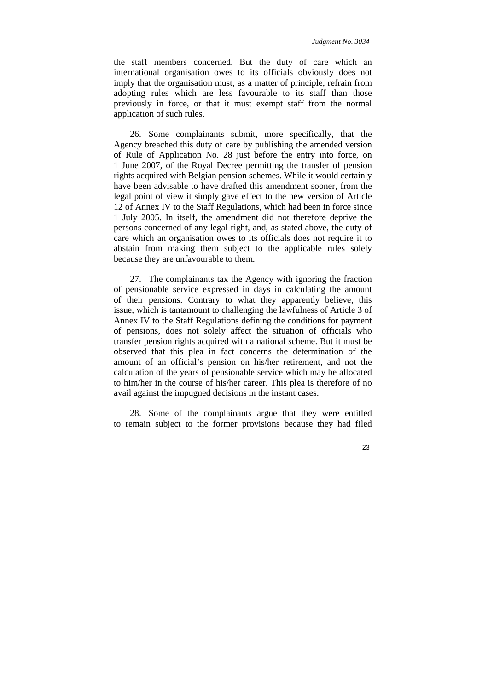the staff members concerned. But the duty of care which an international organisation owes to its officials obviously does not imply that the organisation must, as a matter of principle, refrain from adopting rules which are less favourable to its staff than those previously in force, or that it must exempt staff from the normal application of such rules.

26. Some complainants submit, more specifically, that the Agency breached this duty of care by publishing the amended version of Rule of Application No. 28 just before the entry into force, on 1 June 2007, of the Royal Decree permitting the transfer of pension rights acquired with Belgian pension schemes. While it would certainly have been advisable to have drafted this amendment sooner, from the legal point of view it simply gave effect to the new version of Article 12 of Annex IV to the Staff Regulations, which had been in force since 1 July 2005. In itself, the amendment did not therefore deprive the persons concerned of any legal right, and, as stated above, the duty of care which an organisation owes to its officials does not require it to abstain from making them subject to the applicable rules solely because they are unfavourable to them.

27. The complainants tax the Agency with ignoring the fraction of pensionable service expressed in days in calculating the amount of their pensions. Contrary to what they apparently believe, this issue, which is tantamount to challenging the lawfulness of Article 3 of Annex IV to the Staff Regulations defining the conditions for payment of pensions, does not solely affect the situation of officials who transfer pension rights acquired with a national scheme. But it must be observed that this plea in fact concerns the determination of the amount of an official's pension on his/her retirement, and not the calculation of the years of pensionable service which may be allocated to him/her in the course of his/her career. This plea is therefore of no avail against the impugned decisions in the instant cases.

28. Some of the complainants argue that they were entitled to remain subject to the former provisions because they had filed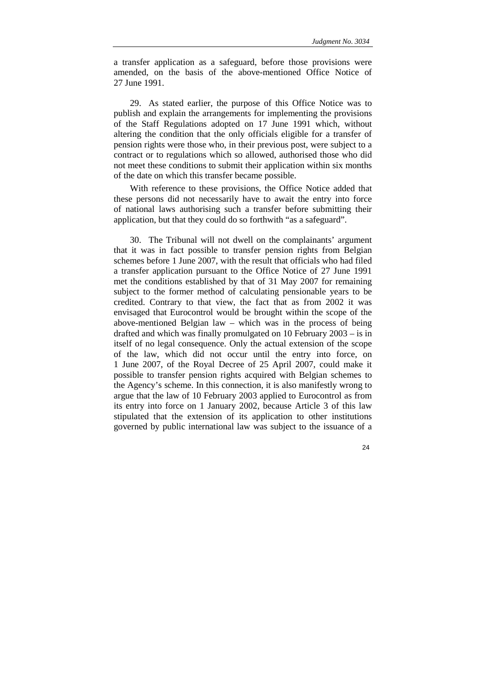a transfer application as a safeguard, before those provisions were amended, on the basis of the above-mentioned Office Notice of 27 June 1991.

29. As stated earlier, the purpose of this Office Notice was to publish and explain the arrangements for implementing the provisions of the Staff Regulations adopted on 17 June 1991 which, without altering the condition that the only officials eligible for a transfer of pension rights were those who, in their previous post, were subject to a contract or to regulations which so allowed, authorised those who did not meet these conditions to submit their application within six months of the date on which this transfer became possible.

With reference to these provisions, the Office Notice added that these persons did not necessarily have to await the entry into force of national laws authorising such a transfer before submitting their application, but that they could do so forthwith "as a safeguard".

30. The Tribunal will not dwell on the complainants' argument that it was in fact possible to transfer pension rights from Belgian schemes before 1 June 2007, with the result that officials who had filed a transfer application pursuant to the Office Notice of 27 June 1991 met the conditions established by that of 31 May 2007 for remaining subject to the former method of calculating pensionable years to be credited. Contrary to that view, the fact that as from 2002 it was envisaged that Eurocontrol would be brought within the scope of the above-mentioned Belgian law – which was in the process of being drafted and which was finally promulgated on 10 February 2003 – is in itself of no legal consequence. Only the actual extension of the scope of the law, which did not occur until the entry into force, on 1 June 2007, of the Royal Decree of 25 April 2007, could make it possible to transfer pension rights acquired with Belgian schemes to the Agency's scheme. In this connection, it is also manifestly wrong to argue that the law of 10 February 2003 applied to Eurocontrol as from its entry into force on 1 January 2002, because Article 3 of this law stipulated that the extension of its application to other institutions governed by public international law was subject to the issuance of a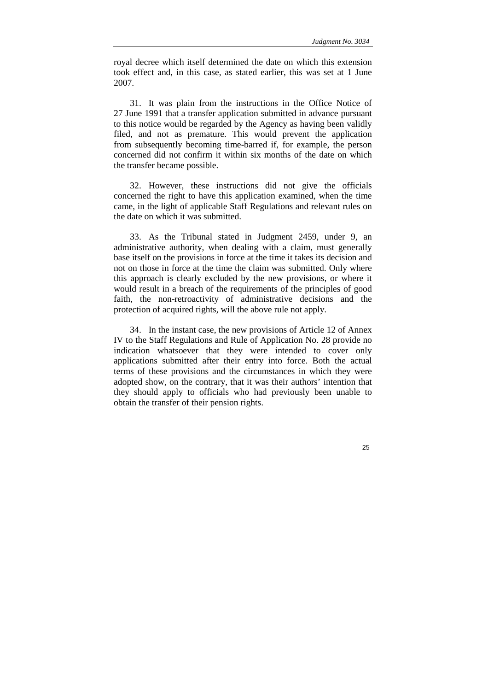royal decree which itself determined the date on which this extension took effect and, in this case, as stated earlier, this was set at 1 June 2007.

31. It was plain from the instructions in the Office Notice of 27 June 1991 that a transfer application submitted in advance pursuant to this notice would be regarded by the Agency as having been validly filed, and not as premature. This would prevent the application from subsequently becoming time-barred if, for example, the person concerned did not confirm it within six months of the date on which the transfer became possible.

32. However, these instructions did not give the officials concerned the right to have this application examined, when the time came, in the light of applicable Staff Regulations and relevant rules on the date on which it was submitted.

33. As the Tribunal stated in Judgment 2459, under 9, an administrative authority, when dealing with a claim, must generally base itself on the provisions in force at the time it takes its decision and not on those in force at the time the claim was submitted. Only where this approach is clearly excluded by the new provisions, or where it would result in a breach of the requirements of the principles of good faith, the non-retroactivity of administrative decisions and the protection of acquired rights, will the above rule not apply.

34. In the instant case, the new provisions of Article 12 of Annex IV to the Staff Regulations and Rule of Application No. 28 provide no indication whatsoever that they were intended to cover only applications submitted after their entry into force. Both the actual terms of these provisions and the circumstances in which they were adopted show, on the contrary, that it was their authors' intention that they should apply to officials who had previously been unable to obtain the transfer of their pension rights.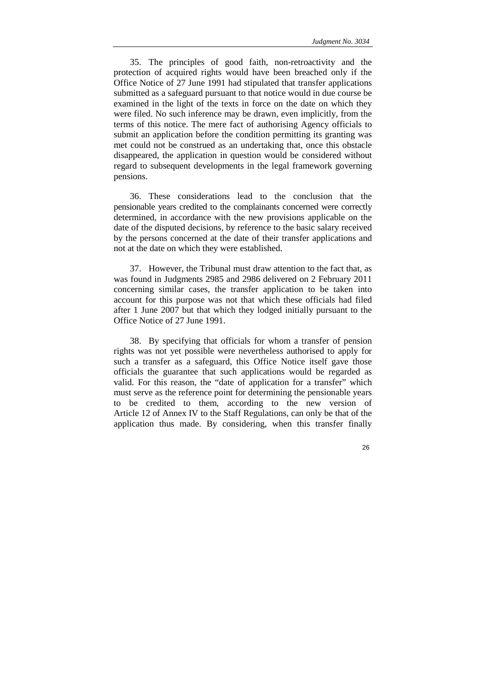35. The principles of good faith, non-retroactivity and the protection of acquired rights would have been breached only if the Office Notice of 27 June 1991 had stipulated that transfer applications submitted as a safeguard pursuant to that notice would in due course be examined in the light of the texts in force on the date on which they were filed. No such inference may be drawn, even implicitly, from the terms of this notice. The mere fact of authorising Agency officials to submit an application before the condition permitting its granting was met could not be construed as an undertaking that, once this obstacle disappeared, the application in question would be considered without regard to subsequent developments in the legal framework governing pensions.

36. These considerations lead to the conclusion that the pensionable years credited to the complainants concerned were correctly determined, in accordance with the new provisions applicable on the date of the disputed decisions, by reference to the basic salary received by the persons concerned at the date of their transfer applications and not at the date on which they were established.

37. However, the Tribunal must draw attention to the fact that, as was found in Judgments 2985 and 2986 delivered on 2 February 2011 concerning similar cases, the transfer application to be taken into account for this purpose was not that which these officials had filed after 1 June 2007 but that which they lodged initially pursuant to the Office Notice of 27 June 1991.

38. By specifying that officials for whom a transfer of pension rights was not yet possible were nevertheless authorised to apply for such a transfer as a safeguard, this Office Notice itself gave those officials the guarantee that such applications would be regarded as valid. For this reason, the "date of application for a transfer" which must serve as the reference point for determining the pensionable years to be credited to them, according to the new version of Article 12 of Annex IV to the Staff Regulations, can only be that of the application thus made. By considering, when this transfer finally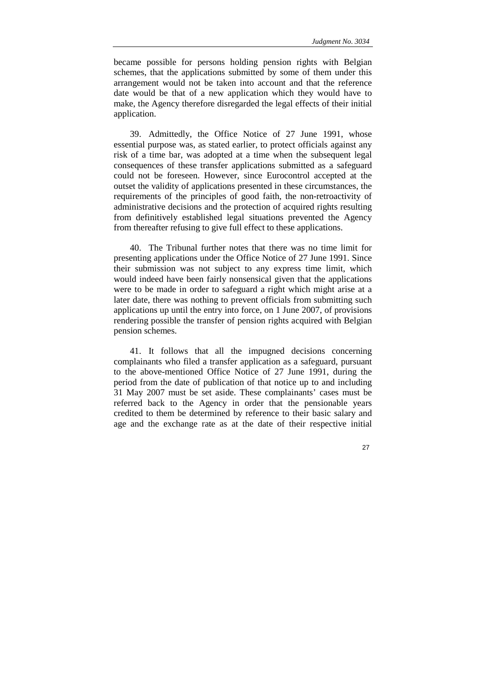became possible for persons holding pension rights with Belgian schemes, that the applications submitted by some of them under this arrangement would not be taken into account and that the reference date would be that of a new application which they would have to make, the Agency therefore disregarded the legal effects of their initial application.

39. Admittedly, the Office Notice of 27 June 1991, whose essential purpose was, as stated earlier, to protect officials against any risk of a time bar, was adopted at a time when the subsequent legal consequences of these transfer applications submitted as a safeguard could not be foreseen. However, since Eurocontrol accepted at the outset the validity of applications presented in these circumstances, the requirements of the principles of good faith, the non-retroactivity of administrative decisions and the protection of acquired rights resulting from definitively established legal situations prevented the Agency from thereafter refusing to give full effect to these applications.

40. The Tribunal further notes that there was no time limit for presenting applications under the Office Notice of 27 June 1991. Since their submission was not subject to any express time limit, which would indeed have been fairly nonsensical given that the applications were to be made in order to safeguard a right which might arise at a later date, there was nothing to prevent officials from submitting such applications up until the entry into force, on 1 June 2007, of provisions rendering possible the transfer of pension rights acquired with Belgian pension schemes.

41. It follows that all the impugned decisions concerning complainants who filed a transfer application as a safeguard, pursuant to the above-mentioned Office Notice of 27 June 1991, during the period from the date of publication of that notice up to and including 31 May 2007 must be set aside. These complainants' cases must be referred back to the Agency in order that the pensionable years credited to them be determined by reference to their basic salary and age and the exchange rate as at the date of their respective initial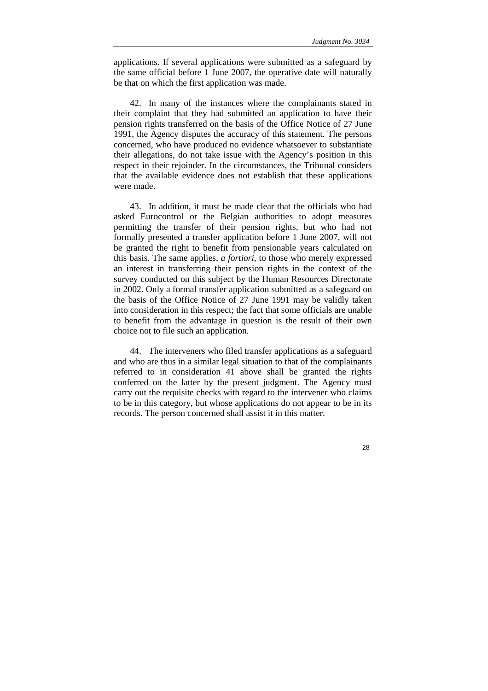applications. If several applications were submitted as a safeguard by the same official before 1 June 2007, the operative date will naturally be that on which the first application was made.

42. In many of the instances where the complainants stated in their complaint that they had submitted an application to have their pension rights transferred on the basis of the Office Notice of 27 June 1991, the Agency disputes the accuracy of this statement. The persons concerned, who have produced no evidence whatsoever to substantiate their allegations, do not take issue with the Agency's position in this respect in their rejoinder. In the circumstances, the Tribunal considers that the available evidence does not establish that these applications were made.

43. In addition, it must be made clear that the officials who had asked Eurocontrol or the Belgian authorities to adopt measures permitting the transfer of their pension rights, but who had not formally presented a transfer application before 1 June 2007, will not be granted the right to benefit from pensionable years calculated on this basis. The same applies, *a fortiori*, to those who merely expressed an interest in transferring their pension rights in the context of the survey conducted on this subject by the Human Resources Directorate in 2002. Only a formal transfer application submitted as a safeguard on the basis of the Office Notice of 27 June 1991 may be validly taken into consideration in this respect; the fact that some officials are unable to benefit from the advantage in question is the result of their own choice not to file such an application.

44. The interveners who filed transfer applications as a safeguard and who are thus in a similar legal situation to that of the complainants referred to in consideration 41 above shall be granted the rights conferred on the latter by the present judgment. The Agency must carry out the requisite checks with regard to the intervener who claims to be in this category, but whose applications do not appear to be in its records. The person concerned shall assist it in this matter.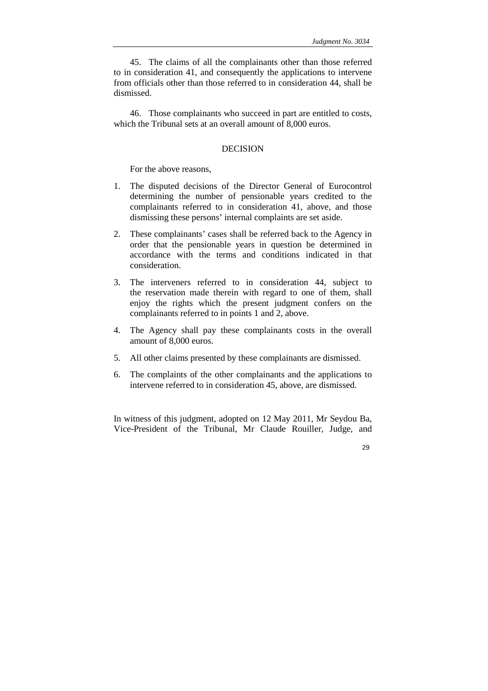45. The claims of all the complainants other than those referred to in consideration 41, and consequently the applications to intervene from officials other than those referred to in consideration 44, shall be dismissed.

46. Those complainants who succeed in part are entitled to costs, which the Tribunal sets at an overall amount of 8,000 euros.

## DECISION

For the above reasons,

- 1. The disputed decisions of the Director General of Eurocontrol determining the number of pensionable years credited to the complainants referred to in consideration 41, above, and those dismissing these persons' internal complaints are set aside.
- 2. These complainants' cases shall be referred back to the Agency in order that the pensionable years in question be determined in accordance with the terms and conditions indicated in that consideration.
- 3. The interveners referred to in consideration 44, subject to the reservation made therein with regard to one of them, shall enjoy the rights which the present judgment confers on the complainants referred to in points 1 and 2, above.
- 4. The Agency shall pay these complainants costs in the overall amount of 8,000 euros.
- 5. All other claims presented by these complainants are dismissed.
- 6. The complaints of the other complainants and the applications to intervene referred to in consideration 45, above, are dismissed.

In witness of this judgment, adopted on 12 May 2011, Mr Seydou Ba, Vice-President of the Tribunal, Mr Claude Rouiller, Judge, and